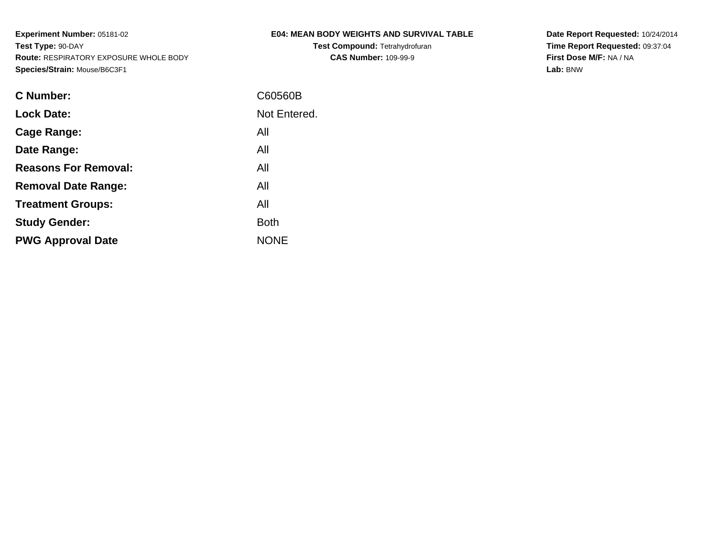**Test Compound:** Tetrahydrofuran**CAS Number:** 109-99-9

**Date Report Requested:** 10/24/2014 **Time Report Requested:** 09:37:04**First Dose M/F:** NA / NA**Lab:** BNW

| <b>C</b> Number:            | C60560B      |
|-----------------------------|--------------|
| <b>Lock Date:</b>           | Not Entered. |
| Cage Range:                 | All          |
| Date Range:                 | All          |
| <b>Reasons For Removal:</b> | All          |
| <b>Removal Date Range:</b>  | All          |
| <b>Treatment Groups:</b>    | All          |
| <b>Study Gender:</b>        | <b>Both</b>  |
| <b>PWG Approval Date</b>    | <b>NONE</b>  |
|                             |              |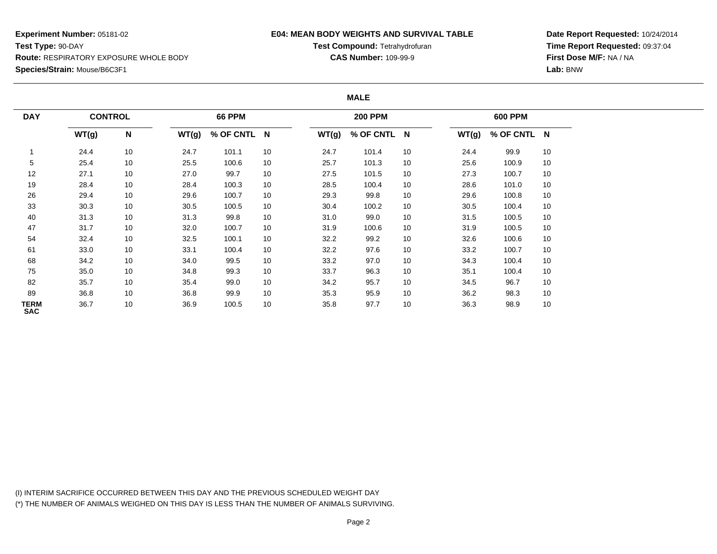### **E04: MEAN BODY WEIGHTS AND SURVIVAL TABLE**

**Test Compound:** Tetrahydrofuran**CAS Number:** 109-99-9

**Date Report Requested:** 10/24/2014**Time Report Requested:** 09:37:04**First Dose M/F:** NA / NA**Lab:** BNW

#### **MALE**

| <b>DAY</b>         | <b>CONTROL</b> |    |       | <b>66 PPM</b> |    |       | <b>200 PPM</b> |    |       | <b>600 PPM</b> |    |
|--------------------|----------------|----|-------|---------------|----|-------|----------------|----|-------|----------------|----|
|                    | WT(g)          | N  | WT(g) | % OF CNTL N   |    | WT(g) | % OF CNTL N    |    | WT(g) | % OF CNTL N    |    |
|                    | 24.4           | 10 | 24.7  | 101.1         | 10 | 24.7  | 101.4          | 10 | 24.4  | 99.9           | 10 |
| 5                  | 25.4           | 10 | 25.5  | 100.6         | 10 | 25.7  | 101.3          | 10 | 25.6  | 100.9          | 10 |
| 12                 | 27.1           | 10 | 27.0  | 99.7          | 10 | 27.5  | 101.5          | 10 | 27.3  | 100.7          | 10 |
| 19                 | 28.4           | 10 | 28.4  | 100.3         | 10 | 28.5  | 100.4          | 10 | 28.6  | 101.0          | 10 |
| 26                 | 29.4           | 10 | 29.6  | 100.7         | 10 | 29.3  | 99.8           | 10 | 29.6  | 100.8          | 10 |
| 33                 | 30.3           | 10 | 30.5  | 100.5         | 10 | 30.4  | 100.2          | 10 | 30.5  | 100.4          | 10 |
| 40                 | 31.3           | 10 | 31.3  | 99.8          | 10 | 31.0  | 99.0           | 10 | 31.5  | 100.5          | 10 |
| 47                 | 31.7           | 10 | 32.0  | 100.7         | 10 | 31.9  | 100.6          | 10 | 31.9  | 100.5          | 10 |
| 54                 | 32.4           | 10 | 32.5  | 100.1         | 10 | 32.2  | 99.2           | 10 | 32.6  | 100.6          | 10 |
| 61                 | 33.0           | 10 | 33.1  | 100.4         | 10 | 32.2  | 97.6           | 10 | 33.2  | 100.7          | 10 |
| 68                 | 34.2           | 10 | 34.0  | 99.5          | 10 | 33.2  | 97.0           | 10 | 34.3  | 100.4          | 10 |
| 75                 | 35.0           | 10 | 34.8  | 99.3          | 10 | 33.7  | 96.3           | 10 | 35.1  | 100.4          | 10 |
| 82                 | 35.7           | 10 | 35.4  | 99.0          | 10 | 34.2  | 95.7           | 10 | 34.5  | 96.7           | 10 |
| 89                 | 36.8           | 10 | 36.8  | 99.9          | 10 | 35.3  | 95.9           | 10 | 36.2  | 98.3           | 10 |
| TERM<br><b>SAC</b> | 36.7           | 10 | 36.9  | 100.5         | 10 | 35.8  | 97.7           | 10 | 36.3  | 98.9           | 10 |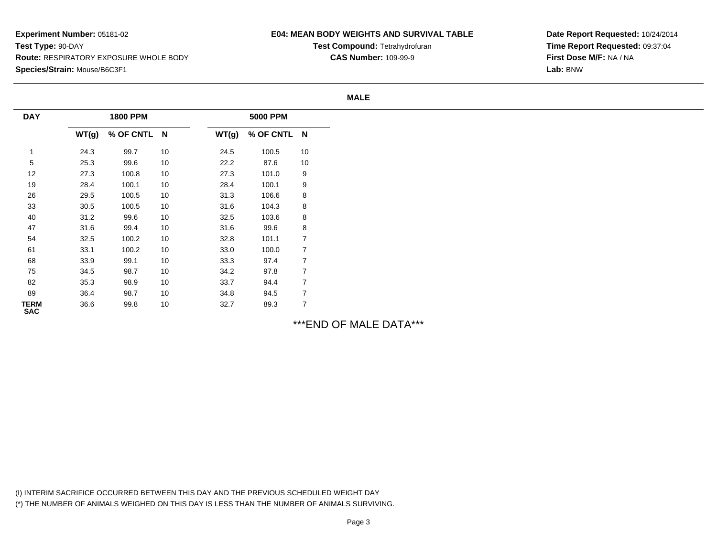## **E04: MEAN BODY WEIGHTS AND SURVIVAL TABLE**

**Test Compound:** Tetrahydrofuran**CAS Number:** 109-99-9

**Date Report Requested:** 10/24/2014**Time Report Requested:** 09:37:04**First Dose M/F:** NA / NA**Lab:** BNW

#### **MALE**

| <b>DAY</b>         |          | <b>1800 PPM</b> |    |       | <b>5000 PPM</b> |                |
|--------------------|----------|-----------------|----|-------|-----------------|----------------|
|                    | WT(g)    | % OF CNTL N     |    | WT(g) | % OF CNTL N     |                |
|                    | 24.3     | 99.7            | 10 | 24.5  | 100.5           | 10             |
| 5                  | 25.3     | 99.6            | 10 | 22.2  | 87.6            | 10             |
| 12                 | 27.3     | 100.8           | 10 | 27.3  | 101.0           | 9              |
| 19                 | 28.4     | 100.1           | 10 | 28.4  | 100.1           | 9              |
| 26                 | 29.5     | 100.5           | 10 | 31.3  | 106.6           | 8              |
| 33                 | $30.5\,$ | 100.5           | 10 | 31.6  | 104.3           | 8              |
| 40                 | 31.2     | 99.6            | 10 | 32.5  | 103.6           | 8              |
| 47                 | 31.6     | 99.4            | 10 | 31.6  | 99.6            | 8              |
| 54                 | 32.5     | 100.2           | 10 | 32.8  | 101.1           | $\overline{7}$ |
| 61                 | 33.1     | 100.2           | 10 | 33.0  | 100.0           | $\overline{7}$ |
| 68                 | 33.9     | 99.1            | 10 | 33.3  | 97.4            | $\overline{7}$ |
| 75                 | 34.5     | 98.7            | 10 | 34.2  | 97.8            | $\overline{7}$ |
| 82                 | 35.3     | 98.9            | 10 | 33.7  | 94.4            | $\overline{7}$ |
| 89                 | 36.4     | 98.7            | 10 | 34.8  | 94.5            | $\overline{7}$ |
| TERM<br><b>SAC</b> | 36.6     | 99.8            | 10 | 32.7  | 89.3            | $\overline{7}$ |

\*\*\*END OF MALE DATA\*\*\*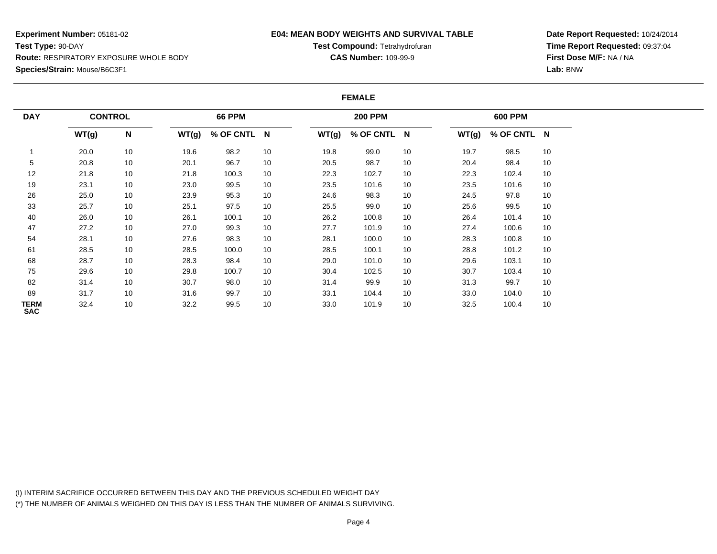### **E04: MEAN BODY WEIGHTS AND SURVIVAL TABLE**

**Test Compound:** Tetrahydrofuran**CAS Number:** 109-99-9

**Date Report Requested:** 10/24/2014**Time Report Requested:** 09:37:04**First Dose M/F:** NA / NA**Lab:** BNW

#### **FEMALE**

| <b>DAY</b>                | <b>CONTROL</b> |    |       | <b>66 PPM</b> |    |       | <b>200 PPM</b> |    |       | <b>600 PPM</b> |    |
|---------------------------|----------------|----|-------|---------------|----|-------|----------------|----|-------|----------------|----|
|                           | WT(g)          | N  | WT(g) | % OF CNTL N   |    | WT(g) | % OF CNTL N    |    | WT(g) | % OF CNTL N    |    |
|                           | 20.0           | 10 | 19.6  | 98.2          | 10 | 19.8  | 99.0           | 10 | 19.7  | 98.5           | 10 |
| 5                         | 20.8           | 10 | 20.1  | 96.7          | 10 | 20.5  | 98.7           | 10 | 20.4  | 98.4           | 10 |
| 12                        | 21.8           | 10 | 21.8  | 100.3         | 10 | 22.3  | 102.7          | 10 | 22.3  | 102.4          | 10 |
| 19                        | 23.1           | 10 | 23.0  | 99.5          | 10 | 23.5  | 101.6          | 10 | 23.5  | 101.6          | 10 |
| 26                        | 25.0           | 10 | 23.9  | 95.3          | 10 | 24.6  | 98.3           | 10 | 24.5  | 97.8           | 10 |
| 33                        | 25.7           | 10 | 25.1  | 97.5          | 10 | 25.5  | 99.0           | 10 | 25.6  | 99.5           | 10 |
| 40                        | 26.0           | 10 | 26.1  | 100.1         | 10 | 26.2  | 100.8          | 10 | 26.4  | 101.4          | 10 |
| 47                        | 27.2           | 10 | 27.0  | 99.3          | 10 | 27.7  | 101.9          | 10 | 27.4  | 100.6          | 10 |
| 54                        | 28.1           | 10 | 27.6  | 98.3          | 10 | 28.1  | 100.0          | 10 | 28.3  | 100.8          | 10 |
| 61                        | 28.5           | 10 | 28.5  | 100.0         | 10 | 28.5  | 100.1          | 10 | 28.8  | 101.2          | 10 |
| 68                        | 28.7           | 10 | 28.3  | 98.4          | 10 | 29.0  | 101.0          | 10 | 29.6  | 103.1          | 10 |
| 75                        | 29.6           | 10 | 29.8  | 100.7         | 10 | 30.4  | 102.5          | 10 | 30.7  | 103.4          | 10 |
| 82                        | 31.4           | 10 | 30.7  | 98.0          | 10 | 31.4  | 99.9           | 10 | 31.3  | 99.7           | 10 |
| 89                        | 31.7           | 10 | 31.6  | 99.7          | 10 | 33.1  | 104.4          | 10 | 33.0  | 104.0          | 10 |
| <b>TERM</b><br><b>SAC</b> | 32.4           | 10 | 32.2  | 99.5          | 10 | 33.0  | 101.9          | 10 | 32.5  | 100.4          | 10 |